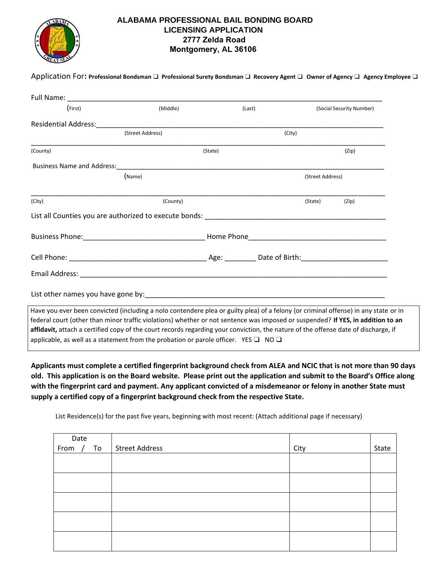

## **ALABAMA PROFESSIONAL BAIL BONDING BOARD LICENSING APPLICATION 2777 Zelda Road Montgomery, AL 36106**

| (First)  | (Middle)         |         | (Last) |                  | (Social Security Number) |
|----------|------------------|---------|--------|------------------|--------------------------|
|          |                  |         |        |                  |                          |
|          |                  |         |        |                  |                          |
|          | (Street Address) |         |        | (City)           |                          |
| (County) |                  | (State) |        |                  | (Zip)                    |
|          |                  |         |        |                  |                          |
|          | (Name)           |         |        | (Street Address) |                          |
| (City)   | (County)         |         |        | (State)          | (Zip)                    |
|          |                  |         |        |                  |                          |
|          |                  |         |        |                  |                          |
|          |                  |         |        |                  |                          |
|          |                  |         |        |                  |                          |
|          |                  |         |        |                  |                          |

applicable, as well as a statement from the probation or parole officer. YES  $\Box$  NO  $\Box$ 

**Applicants must complete a certified fingerprint background check from ALEA and NCIC that is not more than 90 days old. This application is on the Board website. Please print out the application and submit to the Board's Office along with the fingerprint card and payment. Any applicant convicted of a misdemeanor or felony in another State must supply a certified copy of a fingerprint background check from the respective State.** 

List Residence(s) for the past five years, beginning with most recent: (Attach additional page if necessary)

| Date<br>From / To Street Address |      |       |
|----------------------------------|------|-------|
|                                  | City | State |
|                                  |      |       |
|                                  |      |       |
|                                  |      |       |
|                                  |      |       |
|                                  |      |       |
|                                  |      |       |
|                                  |      |       |
|                                  |      |       |
|                                  |      |       |
|                                  |      |       |